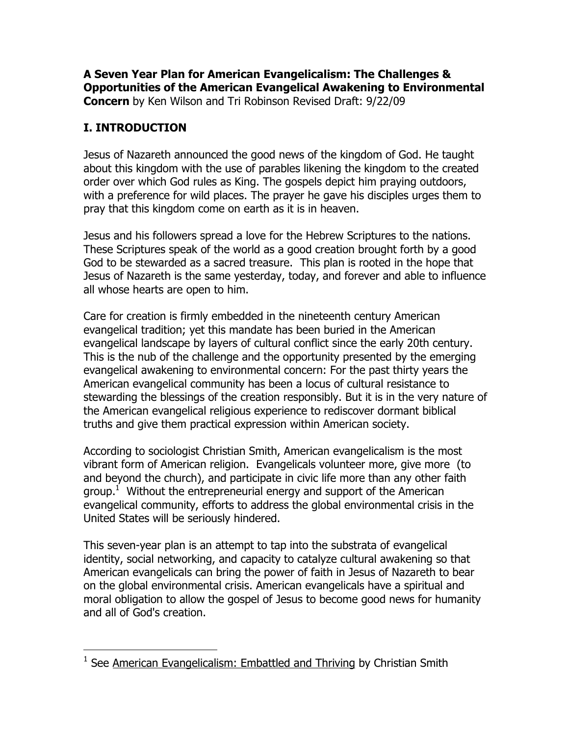**A Seven Year Plan for American Evangelicalism: The Challenges & Opportunities of the American Evangelical Awakening to Environmental Concern** by Ken Wilson and Tri Robinson Revised Draft: 9/22/09

## **I. INTRODUCTION**

Jesus of Nazareth announced the good news of the kingdom of God. He taught about this kingdom with the use of parables likening the kingdom to the created order over which God rules as King. The gospels depict him praying outdoors, with a preference for wild places. The prayer he gave his disciples urges them to pray that this kingdom come on earth as it is in heaven.

Jesus and his followers spread a love for the Hebrew Scriptures to the nations. These Scriptures speak of the world as a good creation brought forth by a good God to be stewarded as a sacred treasure. This plan is rooted in the hope that Jesus of Nazareth is the same yesterday, today, and forever and able to influence all whose hearts are open to him.

Care for creation is firmly embedded in the nineteenth century American evangelical tradition; yet this mandate has been buried in the American evangelical landscape by layers of cultural conflict since the early 20th century. This is the nub of the challenge and the opportunity presented by the emerging evangelical awakening to environmental concern: For the past thirty years the American evangelical community has been a locus of cultural resistance to stewarding the blessings of the creation responsibly. But it is in the very nature of the American evangelical religious experience to rediscover dormant biblical truths and give them practical expression within American society.

According to sociologist Christian Smith, American evangelicalism is the most vibrant form of American religion. Evangelicals volunteer more, give more (to and beyond the church), and participate in civic life more than any other faith group.<sup>1</sup> Without the entrepreneurial energy and support of the American evangelical community, efforts to address the global environmental crisis in the United States will be seriously hindered.

This seven-year plan is an attempt to tap into the substrata of evangelical identity, social networking, and capacity to catalyze cultural awakening so that American evangelicals can bring the power of faith in Jesus of Nazareth to bear on the global environmental crisis. American evangelicals have a spiritual and moral obligation to allow the gospel of Jesus to become good news for humanity and all of God's creation.

<sup>&</sup>lt;u>Lessen American Evangelicalism: Embattled and Thriving</u> by Christian Smith<br><sup>1</sup> See <u>American Evangelicalism: Embattled and Thriving</u> by Christian Smith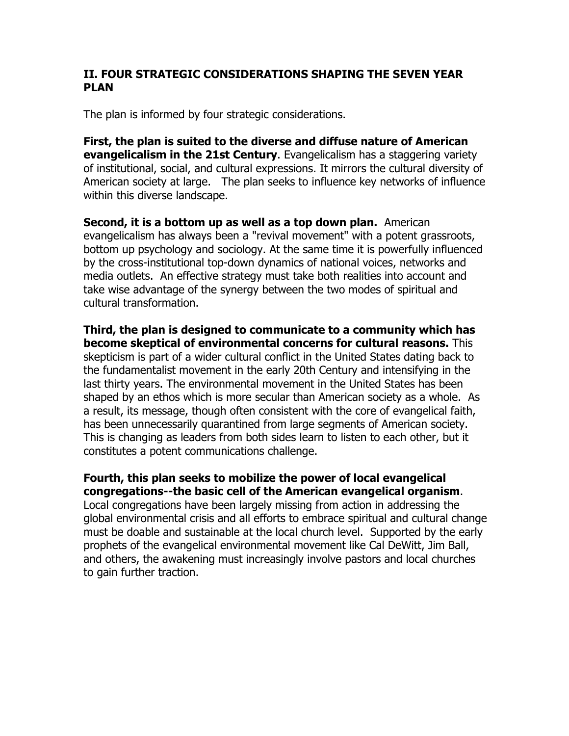#### **II. FOUR STRATEGIC CONSIDERATIONS SHAPING THE SEVEN YEAR PLAN**

The plan is informed by four strategic considerations.

**First, the plan is suited to the diverse and diffuse nature of American evangelicalism in the 21st Century**. Evangelicalism has a staggering variety of institutional, social, and cultural expressions. It mirrors the cultural diversity of American society at large. The plan seeks to influence key networks of influence within this diverse landscape.

**Second, it is a bottom up as well as a top down plan.** American evangelicalism has always been a "revival movement" with a potent grassroots, bottom up psychology and sociology. At the same time it is powerfully influenced by the cross-institutional top-down dynamics of national voices, networks and media outlets. An effective strategy must take both realities into account and take wise advantage of the synergy between the two modes of spiritual and cultural transformation.

**Third, the plan is designed to communicate to a community which has become skeptical of environmental concerns for cultural reasons.** This skepticism is part of a wider cultural conflict in the United States dating back to the fundamentalist movement in the early 20th Century and intensifying in the last thirty years. The environmental movement in the United States has been shaped by an ethos which is more secular than American society as a whole. As a result, its message, though often consistent with the core of evangelical faith, has been unnecessarily quarantined from large segments of American society. This is changing as leaders from both sides learn to listen to each other, but it constitutes a potent communications challenge.

**Fourth, this plan seeks to mobilize the power of local evangelical congregations--the basic cell of the American evangelical organism**. Local congregations have been largely missing from action in addressing the global environmental crisis and all efforts to embrace spiritual and cultural change must be doable and sustainable at the local church level. Supported by the early prophets of the evangelical environmental movement like Cal DeWitt, Jim Ball, and others, the awakening must increasingly involve pastors and local churches to gain further traction.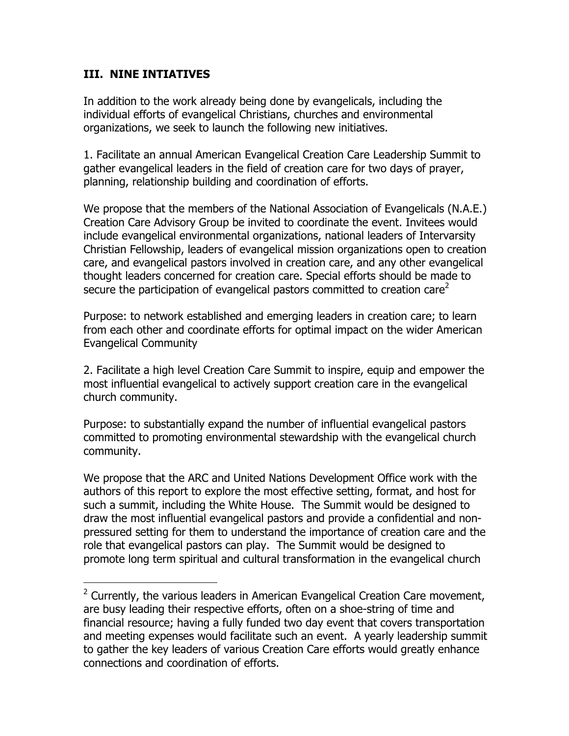### **III. NINE INTIATIVES**

In addition to the work already being done by evangelicals, including the individual efforts of evangelical Christians, churches and environmental organizations, we seek to launch the following new initiatives.

1. Facilitate an annual American Evangelical Creation Care Leadership Summit to gather evangelical leaders in the field of creation care for two days of prayer, planning, relationship building and coordination of efforts.

We propose that the members of the National Association of Evangelicals (N.A.E.) Creation Care Advisory Group be invited to coordinate the event. Invitees would include evangelical environmental organizations, national leaders of Intervarsity Christian Fellowship, leaders of evangelical mission organizations open to creation care, and evangelical pastors involved in creation care, and any other evangelical thought leaders concerned for creation care. Special efforts should be made to secure the participation of evangelical pastors committed to creation care<sup>2</sup>

Purpose: to network established and emerging leaders in creation care; to learn from each other and coordinate efforts for optimal impact on the wider American Evangelical Community

2. Facilitate a high level Creation Care Summit to inspire, equip and empower the most influential evangelical to actively support creation care in the evangelical church community.

Purpose: to substantially expand the number of influential evangelical pastors committed to promoting environmental stewardship with the evangelical church community.

We propose that the ARC and United Nations Development Office work with the authors of this report to explore the most effective setting, format, and host for such a summit, including the White House. The Summit would be designed to draw the most influential evangelical pastors and provide a confidential and nonpressured setting for them to understand the importance of creation care and the role that evangelical pastors can play. The Summit would be designed to promote long term spiritual and cultural transformation in the evangelical church

<sup>&</sup>lt;u>2</u><br><sup>2</sup> Currently, the various leaders in American Evangelical Creation Care movement, are busy leading their respective efforts, often on a shoe-string of time and financial resource; having a fully funded two day event that covers transportation and meeting expenses would facilitate such an event. A yearly leadership summit to gather the key leaders of various Creation Care efforts would greatly enhance connections and coordination of efforts.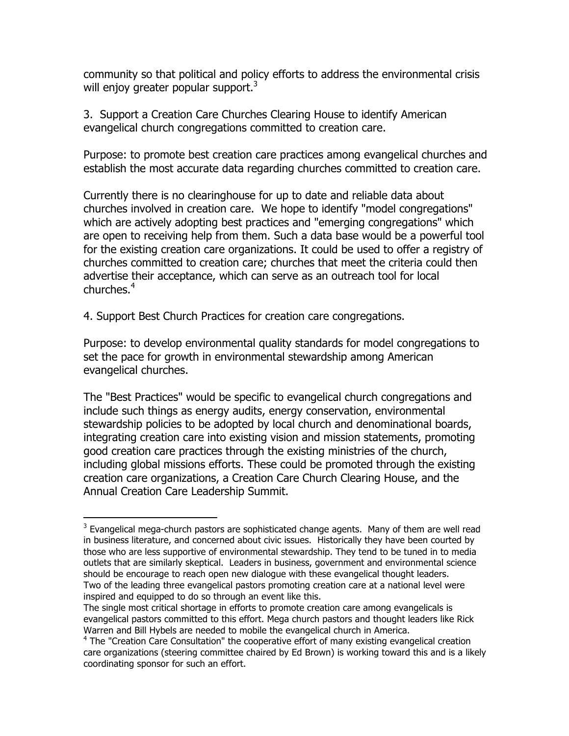community so that political and policy efforts to address the environmental crisis will enjoy greater popular support.<sup>3</sup>

3. Support a Creation Care Churches Clearing House to identify American evangelical church congregations committed to creation care.

Purpose: to promote best creation care practices among evangelical churches and establish the most accurate data regarding churches committed to creation care.

Currently there is no clearinghouse for up to date and reliable data about churches involved in creation care. We hope to identify "model congregations" which are actively adopting best practices and "emerging congregations" which are open to receiving help from them. Such a data base would be a powerful tool for the existing creation care organizations. It could be used to offer a registry of churches committed to creation care; churches that meet the criteria could then advertise their acceptance, which can serve as an outreach tool for local churches.<sup>4</sup>

4. Support Best Church Practices for creation care congregations.

Purpose: to develop environmental quality standards for model congregations to set the pace for growth in environmental stewardship among American evangelical churches.

The "Best Practices" would be specific to evangelical church congregations and include such things as energy audits, energy conservation, environmental stewardship policies to be adopted by local church and denominational boards, integrating creation care into existing vision and mission statements, promoting good creation care practices through the existing ministries of the church, including global missions efforts. These could be promoted through the existing creation care organizations, a Creation Care Church Clearing House, and the Annual Creation Care Leadership Summit.

**Example 2018**<br><sup>3</sup> Evangelical mega-church pastors are sophisticated change agents. Many of them are well read in business literature, and concerned about civic issues. Historically they have been courted by those who are less supportive of environmental stewardship. They tend to be tuned in to media outlets that are similarly skeptical. Leaders in business, government and environmental science should be encourage to reach open new dialogue with these evangelical thought leaders. Two of the leading three evangelical pastors promoting creation care at a national level were inspired and equipped to do so through an event like this.

The single most critical shortage in efforts to promote creation care among evangelicals is evangelical pastors committed to this effort. Mega church pastors and thought leaders like Rick Warren and Bill Hybels are needed to mobile the evangelical church in America.

<sup>&</sup>lt;sup>4</sup> The "Creation Care Consultation" the cooperative effort of many existing evangelical creation care organizations (steering committee chaired by Ed Brown) is working toward this and is a likely coordinating sponsor for such an effort.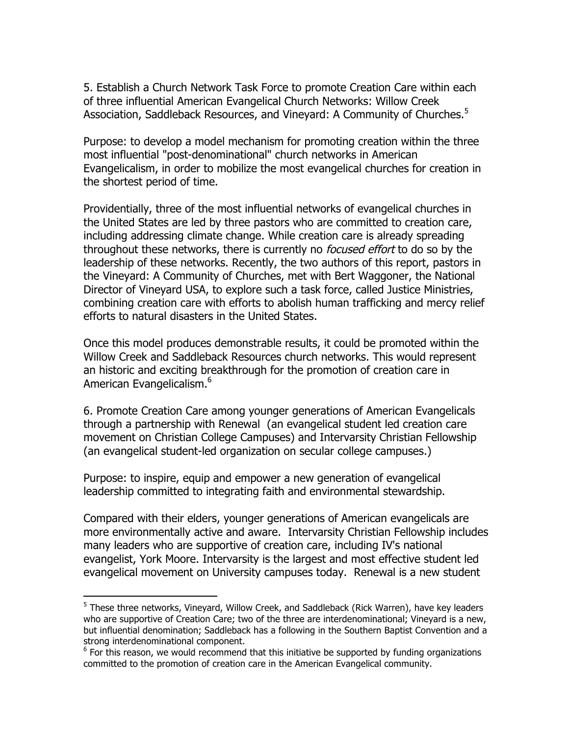5. Establish a Church Network Task Force to promote Creation Care within each of three influential American Evangelical Church Networks: Willow Creek Association, Saddleback Resources, and Vineyard: A Community of Churches.<sup>5</sup>

Purpose: to develop a model mechanism for promoting creation within the three most influential "post-denominational" church networks in American Evangelicalism, in order to mobilize the most evangelical churches for creation in the shortest period of time.

Providentially, three of the most influential networks of evangelical churches in the United States are led by three pastors who are committed to creation care, including addressing climate change. While creation care is already spreading throughout these networks, there is currently no *focused effort* to do so by the leadership of these networks. Recently, the two authors of this report, pastors in the Vineyard: A Community of Churches, met with Bert Waggoner, the National Director of Vineyard USA, to explore such a task force, called Justice Ministries, combining creation care with efforts to abolish human trafficking and mercy relief efforts to natural disasters in the United States.

Once this model produces demonstrable results, it could be promoted within the Willow Creek and Saddleback Resources church networks. This would represent an historic and exciting breakthrough for the promotion of creation care in American Evangelicalism.<sup>6</sup>

6. Promote Creation Care among younger generations of American Evangelicals through a partnership with Renewal (an evangelical student led creation care movement on Christian College Campuses) and Intervarsity Christian Fellowship (an evangelical student-led organization on secular college campuses.)

Purpose: to inspire, equip and empower a new generation of evangelical leadership committed to integrating faith and environmental stewardship.

Compared with their elders, younger generations of American evangelicals are more environmentally active and aware. Intervarsity Christian Fellowship includes many leaders who are supportive of creation care, including IV's national evangelist, York Moore. Intervarsity is the largest and most effective student led evangelical movement on University campuses today. Renewal is a new student

 <sup>5</sup> These three networks, Vineyard, Willow Creek, and Saddleback (Rick Warren), have key leaders who are supportive of Creation Care; two of the three are interdenominational; Vineyard is a new, but influential denomination; Saddleback has a following in the Southern Baptist Convention and a strong interdenominational component.

 $6$  For this reason, we would recommend that this initiative be supported by funding organizations committed to the promotion of creation care in the American Evangelical community.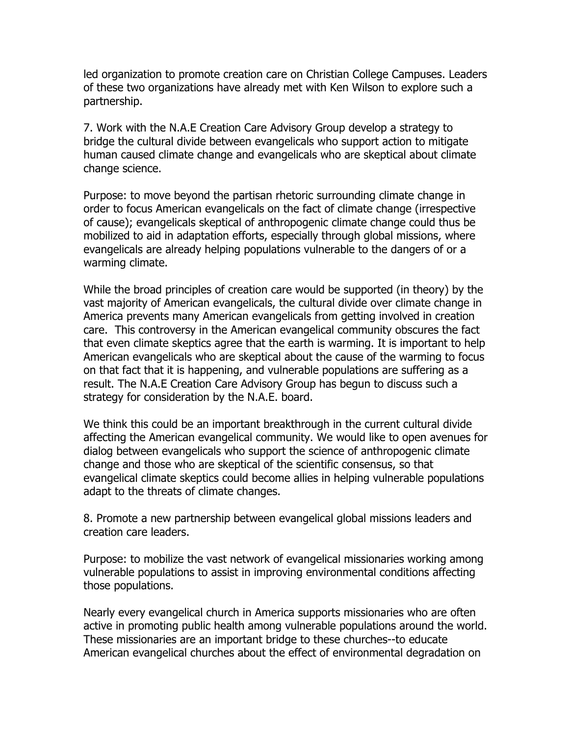led organization to promote creation care on Christian College Campuses. Leaders of these two organizations have already met with Ken Wilson to explore such a partnership.

7. Work with the N.A.E Creation Care Advisory Group develop a strategy to bridge the cultural divide between evangelicals who support action to mitigate human caused climate change and evangelicals who are skeptical about climate change science.

Purpose: to move beyond the partisan rhetoric surrounding climate change in order to focus American evangelicals on the fact of climate change (irrespective of cause); evangelicals skeptical of anthropogenic climate change could thus be mobilized to aid in adaptation efforts, especially through global missions, where evangelicals are already helping populations vulnerable to the dangers of or a warming climate.

While the broad principles of creation care would be supported (in theory) by the vast majority of American evangelicals, the cultural divide over climate change in America prevents many American evangelicals from getting involved in creation care. This controversy in the American evangelical community obscures the fact that even climate skeptics agree that the earth is warming. It is important to help American evangelicals who are skeptical about the cause of the warming to focus on that fact that it is happening, and vulnerable populations are suffering as a result. The N.A.E Creation Care Advisory Group has begun to discuss such a strategy for consideration by the N.A.E. board.

We think this could be an important breakthrough in the current cultural divide affecting the American evangelical community. We would like to open avenues for dialog between evangelicals who support the science of anthropogenic climate change and those who are skeptical of the scientific consensus, so that evangelical climate skeptics could become allies in helping vulnerable populations adapt to the threats of climate changes.

8. Promote a new partnership between evangelical global missions leaders and creation care leaders.

Purpose: to mobilize the vast network of evangelical missionaries working among vulnerable populations to assist in improving environmental conditions affecting those populations.

Nearly every evangelical church in America supports missionaries who are often active in promoting public health among vulnerable populations around the world. These missionaries are an important bridge to these churches--to educate American evangelical churches about the effect of environmental degradation on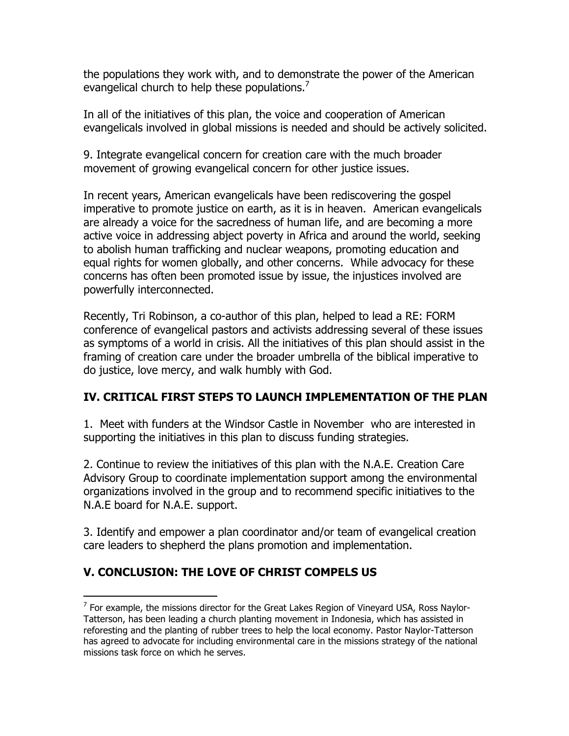the populations they work with, and to demonstrate the power of the American evangelical church to help these populations.<sup>7</sup>

In all of the initiatives of this plan, the voice and cooperation of American evangelicals involved in global missions is needed and should be actively solicited.

9. Integrate evangelical concern for creation care with the much broader movement of growing evangelical concern for other justice issues.

In recent years, American evangelicals have been rediscovering the gospel imperative to promote justice on earth, as it is in heaven. American evangelicals are already a voice for the sacredness of human life, and are becoming a more active voice in addressing abject poverty in Africa and around the world, seeking to abolish human trafficking and nuclear weapons, promoting education and equal rights for women globally, and other concerns. While advocacy for these concerns has often been promoted issue by issue, the injustices involved are powerfully interconnected.

Recently, Tri Robinson, a co-author of this plan, helped to lead a RE: FORM conference of evangelical pastors and activists addressing several of these issues as symptoms of a world in crisis. All the initiatives of this plan should assist in the framing of creation care under the broader umbrella of the biblical imperative to do justice, love mercy, and walk humbly with God.

### **IV. CRITICAL FIRST STEPS TO LAUNCH IMPLEMENTATION OF THE PLAN**

1. Meet with funders at the Windsor Castle in November who are interested in supporting the initiatives in this plan to discuss funding strategies.

2. Continue to review the initiatives of this plan with the N.A.E. Creation Care Advisory Group to coordinate implementation support among the environmental organizations involved in the group and to recommend specific initiatives to the N.A.E board for N.A.E. support.

3. Identify and empower a plan coordinator and/or team of evangelical creation care leaders to shepherd the plans promotion and implementation.

# **V. CONCLUSION: THE LOVE OF CHRIST COMPELS US**

The matasary of the missions director for the Great Lakes Region of Vineyard USA, Ross Naylor-Tatterson, has been leading a church planting movement in Indonesia, which has assisted in reforesting and the planting of rubber trees to help the local economy. Pastor Naylor-Tatterson has agreed to advocate for including environmental care in the missions strategy of the national missions task force on which he serves.